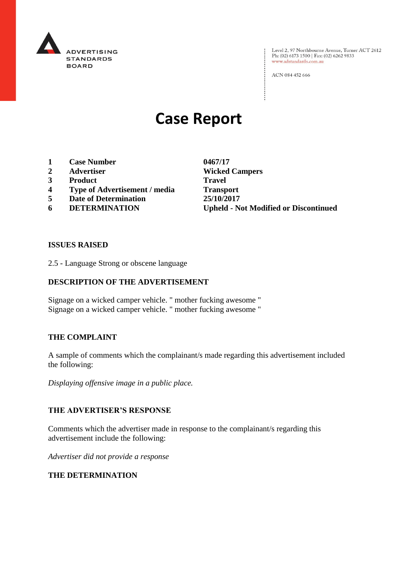

: Level 2, 97 Northbourne Avenue, Turner ACT 2612<br>Ph: (02) 6173 1500 | Fax: (02) 6262 9833 www.adstandards.com.au

ACN 084 452 666

# **Case Report**

- **1 Case Number 0467/17**
- 
- **3 Product Travel**
- **4 Type of Advertisement / media Transport**
- **5 Date of Determination 25/10/2017**
- 

**2 Advertiser Wicked Campers 6 DETERMINATION Upheld - Not Modified or Discontinued**

 $\vdots$ 

#### **ISSUES RAISED**

2.5 - Language Strong or obscene language

# **DESCRIPTION OF THE ADVERTISEMENT**

Signage on a wicked camper vehicle. " mother fucking awesome " Signage on a wicked camper vehicle. " mother fucking awesome "

#### **THE COMPLAINT**

A sample of comments which the complainant/s made regarding this advertisement included the following:

*Displaying offensive image in a public place.*

#### **THE ADVERTISER'S RESPONSE**

Comments which the advertiser made in response to the complainant/s regarding this advertisement include the following:

*Advertiser did not provide a response*

### **THE DETERMINATION**